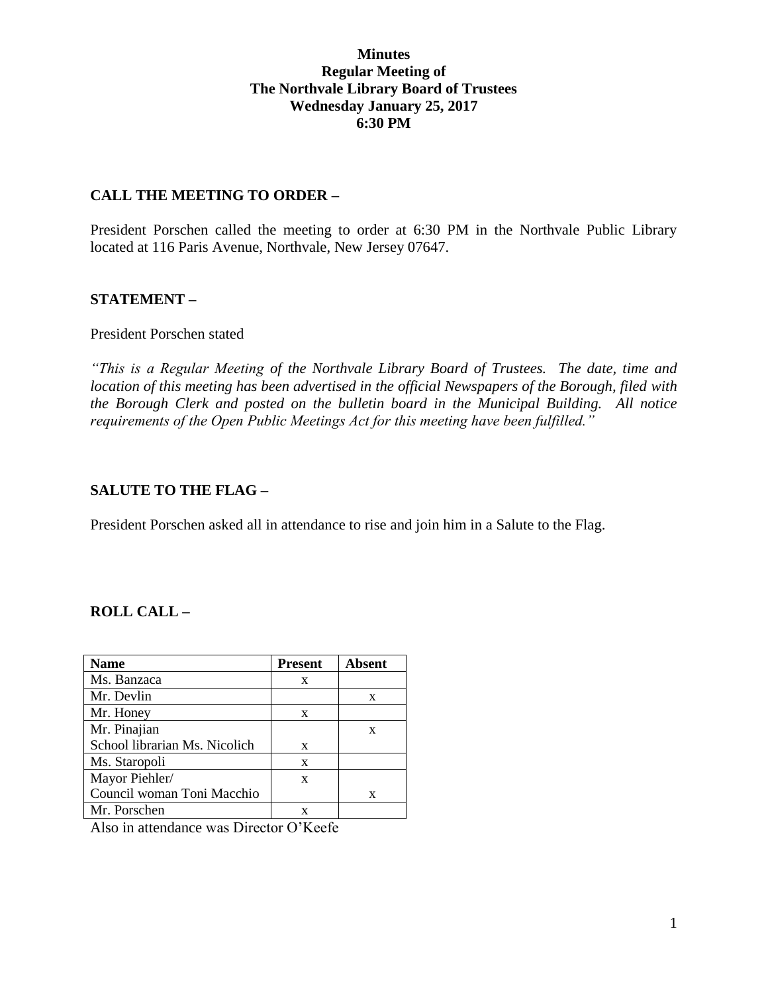### **Minutes Regular Meeting of The Northvale Library Board of Trustees Wednesday January 25, 2017 6:30 PM**

#### **CALL THE MEETING TO ORDER –**

President Porschen called the meeting to order at 6:30 PM in the Northvale Public Library located at 116 Paris Avenue, Northvale, New Jersey 07647.

### **STATEMENT –**

#### President Porschen stated

*"This is a Regular Meeting of the Northvale Library Board of Trustees. The date, time and location of this meeting has been advertised in the official Newspapers of the Borough, filed with the Borough Clerk and posted on the bulletin board in the Municipal Building. All notice requirements of the Open Public Meetings Act for this meeting have been fulfilled."* 

## **SALUTE TO THE FLAG –**

President Porschen asked all in attendance to rise and join him in a Salute to the Flag.

## **ROLL CALL –**

| <b>Name</b>                                                                                          | <b>Present</b> | <b>Absent</b> |  |  |  |
|------------------------------------------------------------------------------------------------------|----------------|---------------|--|--|--|
| Ms. Banzaca                                                                                          | X              |               |  |  |  |
| Mr. Devlin                                                                                           |                | X             |  |  |  |
| Mr. Honey                                                                                            | X              |               |  |  |  |
| Mr. Pinajian                                                                                         |                | X             |  |  |  |
| School librarian Ms. Nicolich                                                                        | X              |               |  |  |  |
| Ms. Staropoli                                                                                        | X              |               |  |  |  |
| Mayor Piehler/                                                                                       | X              |               |  |  |  |
| Council woman Toni Macchio                                                                           |                | X             |  |  |  |
| Mr. Porschen                                                                                         | X              |               |  |  |  |
| $\Lambda$ less to strive dense seems $\mathbf{D}$ insisten $\mathbf{O}^{\dagger}V$ of $\mathbf{f}$ . |                |               |  |  |  |

Also in attendance was Director O'Keefe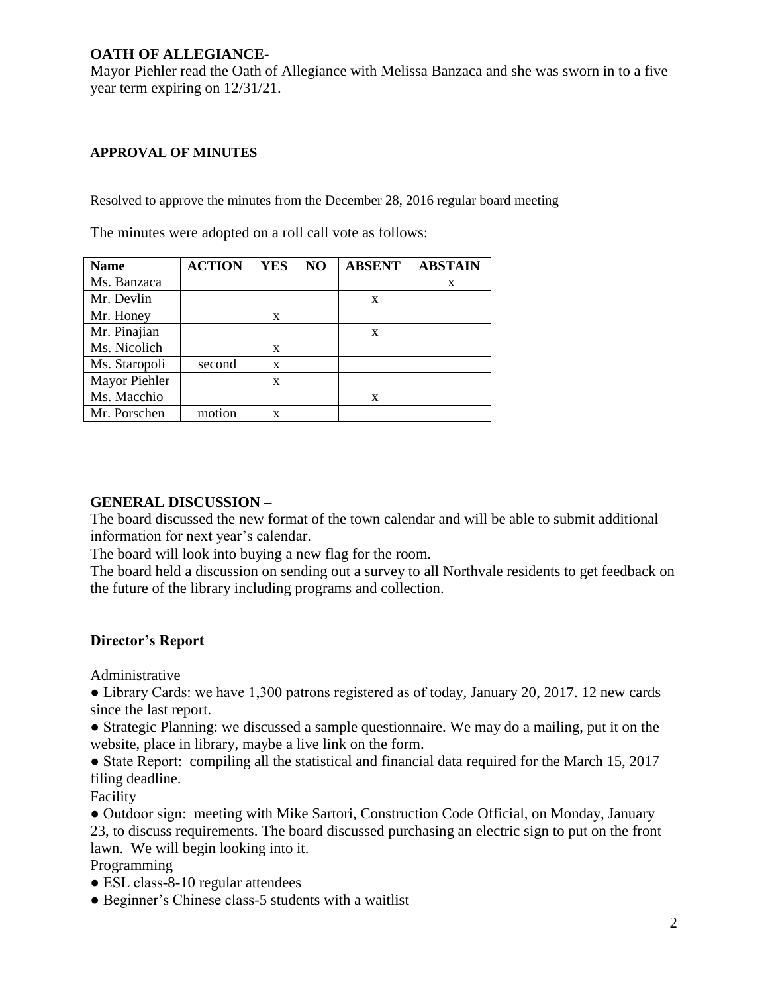## **OATH OF ALLEGIANCE-**

Mayor Piehler read the Oath of Allegiance with Melissa Banzaca and she was sworn in to a five year term expiring on 12/31/21.

#### **APPROVAL OF MINUTES**

Resolved to approve the minutes from the December 28, 2016 regular board meeting

**Name ACTION YES NO ABSENT ABSTAIN** Ms. Banzaca x Mr. Devlin x Mr. Honey | x Mr. Pinajian Ms. Nicolich x  $\mathbf X$ Ms. Staropoli second x Mayor Piehler Ms. Macchio x x Mr. Porschen | motion | x

The minutes were adopted on a roll call vote as follows:

#### **GENERAL DISCUSSION –**

The board discussed the new format of the town calendar and will be able to submit additional information for next year's calendar.

The board will look into buying a new flag for the room.

The board held a discussion on sending out a survey to all Northvale residents to get feedback on the future of the library including programs and collection.

## **Director's Report**

Administrative

• Library Cards: we have 1,300 patrons registered as of today, January 20, 2017. 12 new cards since the last report.

• Strategic Planning: we discussed a sample questionnaire. We may do a mailing, put it on the website, place in library, maybe a live link on the form.

• State Report: compiling all the statistical and financial data required for the March 15, 2017 filing deadline.

Facility

• Outdoor sign: meeting with Mike Sartori, Construction Code Official, on Monday, January 23, to discuss requirements. The board discussed purchasing an electric sign to put on the front lawn. We will begin looking into it.

Programming

- ESL class-8-10 regular attendees
- Beginner's Chinese class-5 students with a waitlist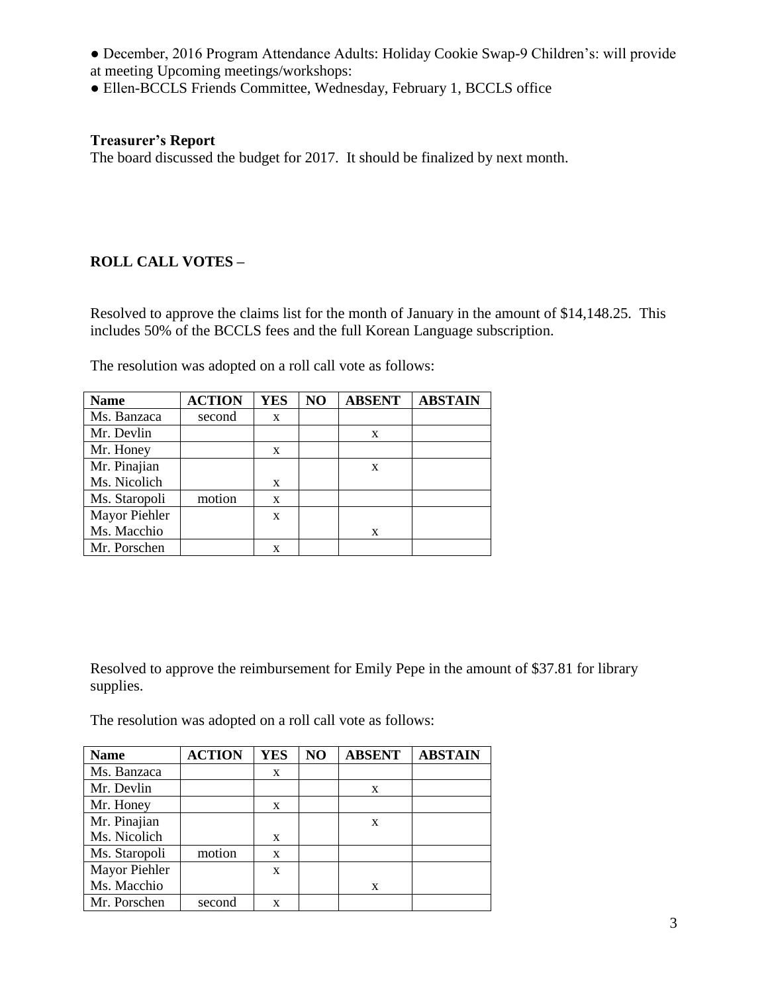- December, 2016 Program Attendance Adults: Holiday Cookie Swap-9 Children's: will provide at meeting Upcoming meetings/workshops:
- Ellen-BCCLS Friends Committee, Wednesday, February 1, BCCLS office

### **Treasurer's Report**

The board discussed the budget for 2017. It should be finalized by next month.

# **ROLL CALL VOTES –**

Resolved to approve the claims list for the month of January in the amount of \$14,148.25. This includes 50% of the BCCLS fees and the full Korean Language subscription.

| <b>Name</b>   | <b>ACTION</b> | <b>YES</b> | NO | <b>ABSENT</b> | <b>ABSTAIN</b> |
|---------------|---------------|------------|----|---------------|----------------|
| Ms. Banzaca   | second        | X          |    |               |                |
| Mr. Devlin    |               |            |    | X             |                |
| Mr. Honey     |               | X          |    |               |                |
| Mr. Pinajian  |               |            |    | X             |                |
| Ms. Nicolich  |               | X          |    |               |                |
| Ms. Staropoli | motion        | X          |    |               |                |
| Mayor Piehler |               | X          |    |               |                |
| Ms. Macchio   |               |            |    | X             |                |
| Mr. Porschen  |               | x          |    |               |                |

The resolution was adopted on a roll call vote as follows:

Resolved to approve the reimbursement for Emily Pepe in the amount of \$37.81 for library supplies.

The resolution was adopted on a roll call vote as follows:

| <b>Name</b>   | <b>ACTION</b> | <b>YES</b> | NO | <b>ABSENT</b> | <b>ABSTAIN</b> |
|---------------|---------------|------------|----|---------------|----------------|
| Ms. Banzaca   |               | X          |    |               |                |
| Mr. Devlin    |               |            |    | X             |                |
| Mr. Honey     |               | X          |    |               |                |
| Mr. Pinajian  |               |            |    | X             |                |
| Ms. Nicolich  |               | X          |    |               |                |
| Ms. Staropoli | motion        | X          |    |               |                |
| Mayor Piehler |               | X          |    |               |                |
| Ms. Macchio   |               |            |    | x             |                |
| Mr. Porschen  | second        | x          |    |               |                |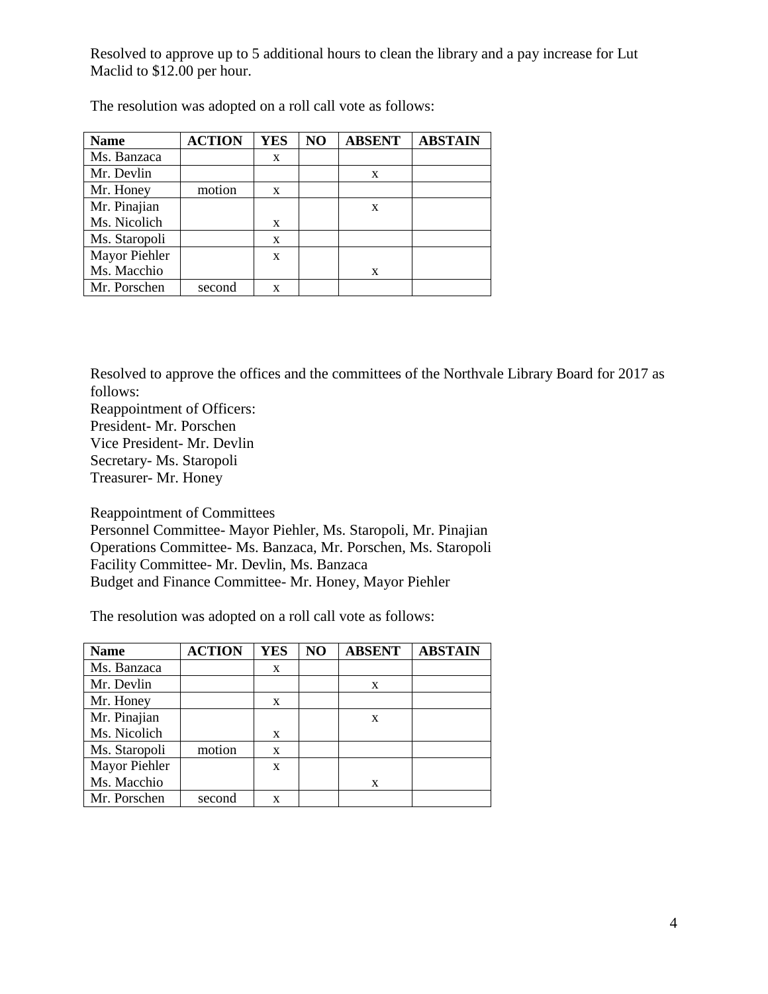Resolved to approve up to 5 additional hours to clean the library and a pay increase for Lut Maclid to \$12.00 per hour.

| <b>Name</b>   | <b>ACTION</b> | <b>YES</b> | NO | <b>ABSENT</b> | <b>ABSTAIN</b> |
|---------------|---------------|------------|----|---------------|----------------|
| Ms. Banzaca   |               | X          |    |               |                |
| Mr. Devlin    |               |            |    | X             |                |
| Mr. Honey     | motion        | X          |    |               |                |
| Mr. Pinajian  |               |            |    | X             |                |
| Ms. Nicolich  |               | X          |    |               |                |
| Ms. Staropoli |               | X          |    |               |                |
| Mayor Piehler |               | X          |    |               |                |
| Ms. Macchio   |               |            |    | X             |                |
| Mr. Porschen  | second        | X          |    |               |                |

The resolution was adopted on a roll call vote as follows:

Resolved to approve the offices and the committees of the Northvale Library Board for 2017 as follows:

Reappointment of Officers: President- Mr. Porschen Vice President- Mr. Devlin Secretary- Ms. Staropoli Treasurer- Mr. Honey

Reappointment of Committees

Personnel Committee- Mayor Piehler, Ms. Staropoli, Mr. Pinajian Operations Committee- Ms. Banzaca, Mr. Porschen, Ms. Staropoli Facility Committee- Mr. Devlin, Ms. Banzaca Budget and Finance Committee- Mr. Honey, Mayor Piehler

The resolution was adopted on a roll call vote as follows:

| <b>Name</b>   | <b>ACTION</b> | <b>YES</b> | NO | <b>ABSENT</b> | <b>ABSTAIN</b> |
|---------------|---------------|------------|----|---------------|----------------|
| Ms. Banzaca   |               | X          |    |               |                |
| Mr. Devlin    |               |            |    | X             |                |
| Mr. Honey     |               | X          |    |               |                |
| Mr. Pinajian  |               |            |    | X             |                |
| Ms. Nicolich  |               | X          |    |               |                |
| Ms. Staropoli | motion        | X          |    |               |                |
| Mayor Piehler |               | X          |    |               |                |
| Ms. Macchio   |               |            |    | X             |                |
| Mr. Porschen  | second        | X          |    |               |                |